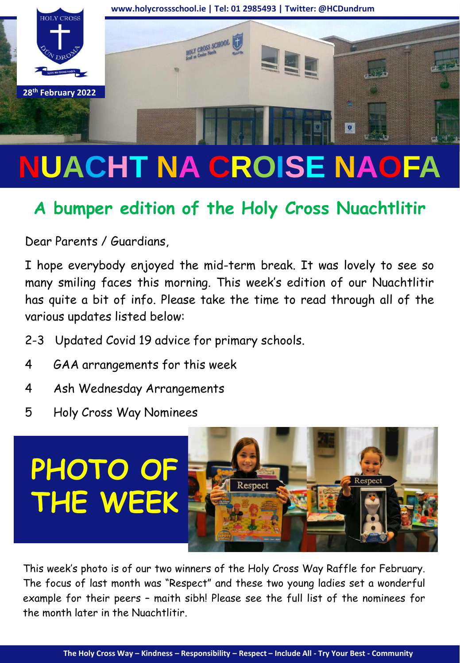

# **NUACHT NA CROISE NAOFA**

# **A bumper edition of the Holy Cross Nuachtlitir**

Dear Parents / Guardians,

I hope everybody enjoyed the mid-term break. It was lovely to see so many smiling faces this morning. This week's edition of our Nuachtlitir has quite a bit of info. Please take the time to read through all of the various updates listed below:

- 2-3 Updated Covid 19 advice for primary schools.
- 4 GAA arrangements for this week
- 4 Ash Wednesday Arrangements
- 5 Holy Cross Way Nominees



This week's photo is of our two winners of the Holy Cross Way Raffle for February. The focus of last month was "Respect" and these two young ladies set a wonderful example for their peers – maith sibh! Please see the full list of the nominees for the month later in the Nuachtlitir.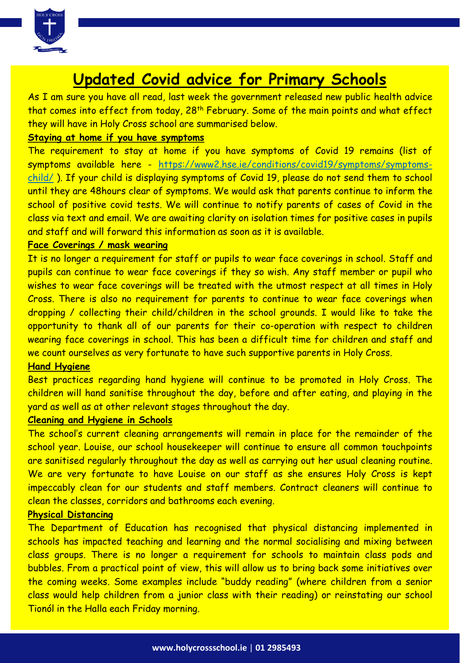

### **Updated Covid advice for Primary Schools**

As I am sure you have all read, last week the government released new public health advice that comes into effect from today, 28<sup>th</sup> February. Some of the main points and what effect they will have in Holy Cross school are summarised below.

#### **Staying at home if you have symptoms**

The requirement to stay at home if you have symptoms of Covid 19 remains (list of symptoms available here - [https://www2.hse.ie/conditions/covid19/symptoms/symptoms](https://www2.hse.ie/conditions/covid19/symptoms/symptoms-child/)child/ ). If your child is displaying symptoms of Covid 19, please do not send them to school until they are 48hours clear of symptoms. We would ask that parents continue to inform the school of positive covid tests. We will continue to notify parents of cases of Covid in the class via text and email. We are awaiting clarity on isolation times for positive cases in pupils and staff and will forward this information as soon as it is available.

#### **Face Coverings / mask wearing**

It is no longer a requirement for staff or pupils to wear face coverings in school. Staff and pupils can continue to wear face coverings if they so wish. Any staff member or pupil who wishes to wear face coverings will be treated with the utmost respect at all times in Holy Cross. There is also no requirement for parents to continue to wear face coverings when dropping / collecting their child/children in the school grounds. I would like to take the opportunity to thank all of our parents for their co-operation with respect to children wearing face coverings in school. This has been a difficult time for children and staff and we count ourselves as very fortunate to have such supportive parents in Holy Cross.

#### **Hand Hygiene**

Best practices regarding hand hygiene will continue to be promoted in Holy Cross. The children will hand sanitise throughout the day, before and after eating, and playing in the yard as well as at other relevant stages throughout the day.

#### **Cleaning and Hygiene in Schools**

The school's current cleaning arrangements will remain in place for the remainder of the school year. Louise, our school housekeeper will continue to ensure all common touchpoints are sanitised regularly throughout the day as well as carrying out her usual cleaning routine. We are very fortunate to have Louise on our staff as she ensures Holy Cross is kept impeccably clean for our students and staff members. Contract cleaners will continue to clean the classes, corridors and bathrooms each evening.

#### **Physical Distancing**

The Department of Education has recognised that physical distancing implemented in schools has impacted teaching and learning and the normal socialising and mixing between class groups. There is no longer a requirement for schools to maintain class pods and bubbles. From a practical point of view, this will allow us to bring back some initiatives over the coming weeks. Some examples include "buddy reading" (where children from a senior class would help children from a junior class with their reading) or reinstating our school Tionól in the Halla each Friday morning.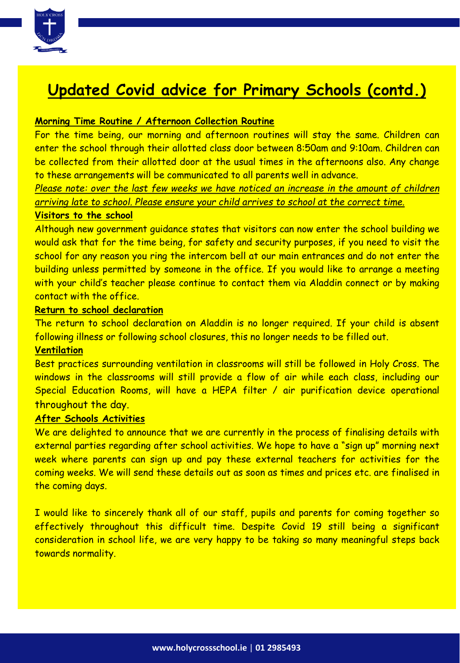

## **Updated Covid advice for Primary Schools (contd.)**

#### **Morning Time Routine / Afternoon Collection Routine**

For the time being, our morning and afternoon routines will stay the same. Children can enter the school through their allotted class door between 8:50am and 9:10am. Children can be collected from their allotted door at the usual times in the afternoons also. Any change to these arrangements will be communicated to all parents well in advance.

*Please note: over the last few weeks we have noticed an increase in the amount of children arriving late to school. Please ensure your child arrives to school at the correct time.*

#### **Visitors to the school**

Although new government guidance states that visitors can now enter the school building we would ask that for the time being, for safety and security purposes, if you need to visit the school for any reason you ring the intercom bell at our main entrances and do not enter the building unless permitted by someone in the office. If you would like to arrange a meeting with your child's teacher please continue to contact them via Aladdin connect or by making contact with the office.

#### **Return to school declaration**

The return to school declaration on Aladdin is no longer required. If your child is absent following illness or following school closures, this no longer needs to be filled out.

#### **Ventilation**

Best practices surrounding ventilation in classrooms will still be followed in Holy Cross. The windows in the classrooms will still provide a flow of air while each class, including our Special Education Rooms, will have a HEPA filter / air purification device operational throughout the day.

#### **After Schools Activities**

We are delighted to announce that we are currently in the process of finalising details with external parties regarding after school activities. We hope to have a "sign up" morning next week where parents can sign up and pay these external teachers for activities for the coming weeks. We will send these details out as soon as times and prices etc. are finalised in the coming days.

I would like to sincerely thank all of our staff, pupils and parents for coming together so effectively throughout this difficult time. Despite Covid 19 still being a significant consideration in school life, we are very happy to be taking so many meaningful steps back towards normality.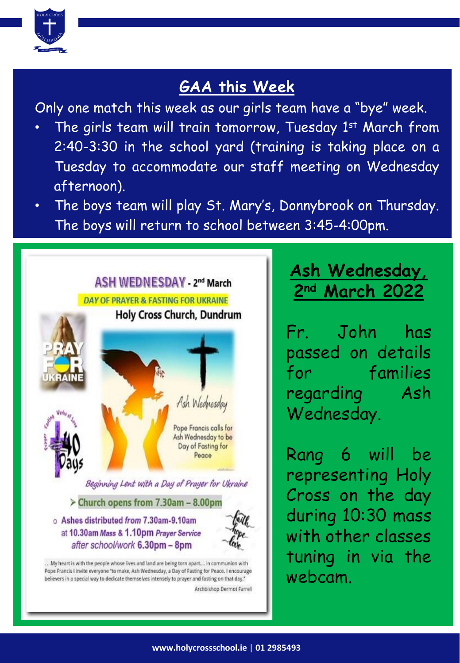

# **GAA this Week**

Only one match this week as our girls team have a "bye" week.

- The girls team will train tomorrow, Tuesday  $1^{\text{st}}$  March from 2:40-3:30 in the school yard (training is taking place on a Tuesday to accommodate our staff meeting on Wednesday afternoon).
- The boys team will play St. Mary's, Donnybrook on Thursday. The boys will return to school between 3:45-4:00pm.



# **Ash Wednesday, 2nd March 2022**

Fr. John has passed on details for families regarding Ash Wednesday.

Rang 6 will be representing Holy Cross on the day during 10:30 mass with other classes tuning in via the webcam.